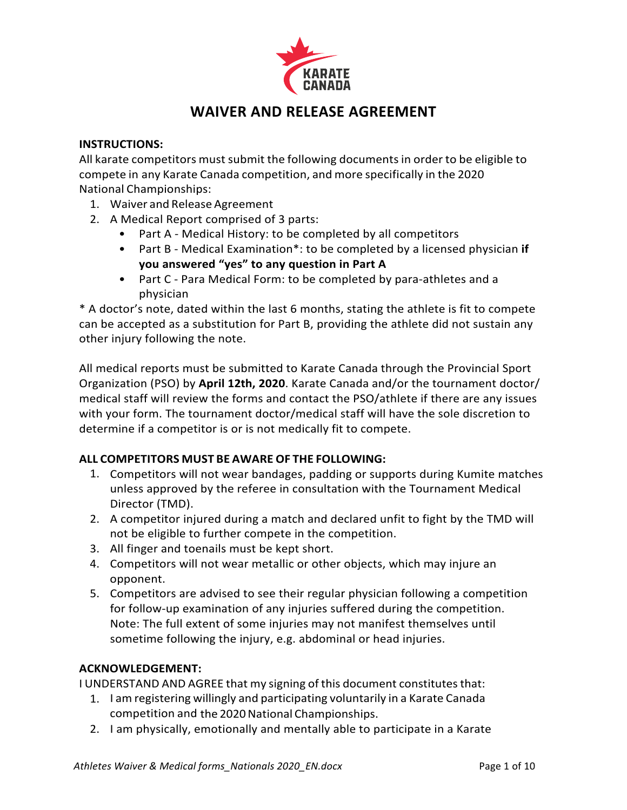

# **WAIVER AND RELEASE AGREEMENT**

## **INSTRUCTIONS:**

All karate competitors must submit the following documents in order to be eligible to compete in any Karate Canada competition, and more specifically in the 2020 National Championships:

- 1. Waiver and Release Agreement
- 2. A Medical Report comprised of 3 parts:
	- Part A Medical History: to be completed by all competitors
	- Part B Medical Examination<sup>\*</sup>: to be completed by a licensed physician if **you** answered "yes" to any question in Part A
	- Part C Para Medical Form: to be completed by para-athletes and a physician

\* A doctor's note, dated within the last 6 months, stating the athlete is fit to compete can be accepted as a substitution for Part B, providing the athlete did not sustain any other injury following the note.

All medical reports must be submitted to Karate Canada through the Provincial Sport Organization (PSO) by **April 12th, 2020**. Karate Canada and/or the tournament doctor/ medical staff will review the forms and contact the PSO/athlete if there are any issues with your form. The tournament doctor/medical staff will have the sole discretion to determine if a competitor is or is not medically fit to compete.

# **ALL COMPETITORS MUST BE AWARE OF THE FOLLOWING:**

- 1. Competitors will not wear bandages, padding or supports during Kumite matches unless approved by the referee in consultation with the Tournament Medical Director (TMD).
- 2. A competitor injured during a match and declared unfit to fight by the TMD will not be eligible to further compete in the competition.
- 3. All finger and toenails must be kept short.
- 4. Competitors will not wear metallic or other objects, which may injure an opponent.
- 5. Competitors are advised to see their regular physician following a competition for follow-up examination of any injuries suffered during the competition. Note: The full extent of some injuries may not manifest themselves until sometime following the injury, e.g. abdominal or head injuries.

# **ACKNOWLEDGEMENT:**

I UNDERSTAND AND AGREE that my signing of this document constitutes that:

- 1. I am registering willingly and participating voluntarily in a Karate Canada competition and the 2020 National Championships.
- 2. I am physically, emotionally and mentally able to participate in a Karate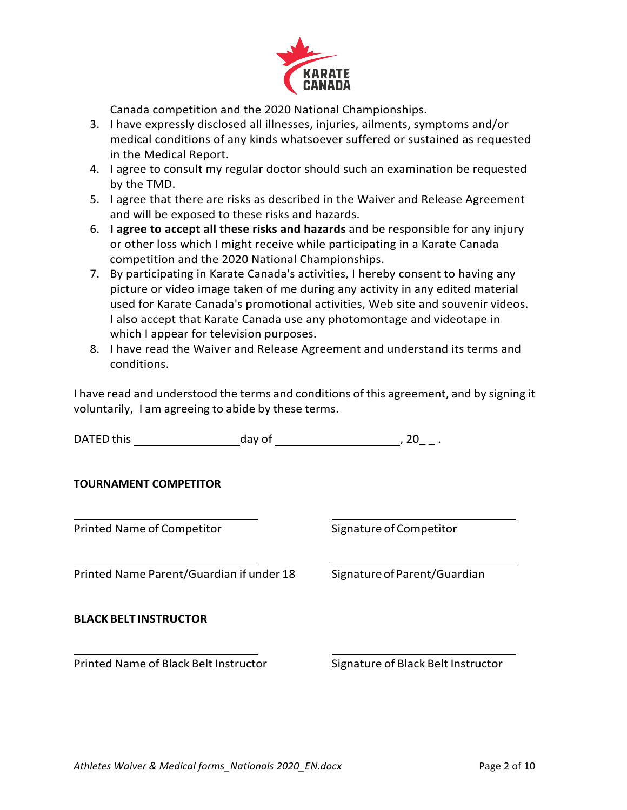

Canada competition and the 2020 National Championships.

- 3. I have expressly disclosed all illnesses, injuries, ailments, symptoms and/or medical conditions of any kinds whatsoever suffered or sustained as requested in the Medical Report.
- 4. I agree to consult my regular doctor should such an examination be requested by the TMD.
- 5. I agree that there are risks as described in the Waiver and Release Agreement and will be exposed to these risks and hazards.
- 6. **I** agree to accept all these risks and hazards and be responsible for any injury or other loss which I might receive while participating in a Karate Canada competition and the 2020 National Championships.
- 7. By participating in Karate Canada's activities, I hereby consent to having any picture or video image taken of me during any activity in any edited material used for Karate Canada's promotional activities, Web site and souvenir videos. I also accept that Karate Canada use any photomontage and videotape in which I appear for television purposes.
- 8. I have read the Waiver and Release Agreement and understand its terms and conditions.

I have read and understood the terms and conditions of this agreement, and by signing it voluntarily, I am agreeing to abide by these terms.

DATED this day of the control of the control of the control of the control of the control of the control of the control of the control of the control of the control of the control of the control of the control of the contr

## **TOURNAMENT COMPETITOR**

Printed Name of Competitor Signature of Competitor

Printed Name Parent/Guardian if under 18 Signature of Parent/Guardian

**BLACK BELT INSTRUCTOR**

Printed Name of Black Belt Instructor Signature of Black Belt Instructor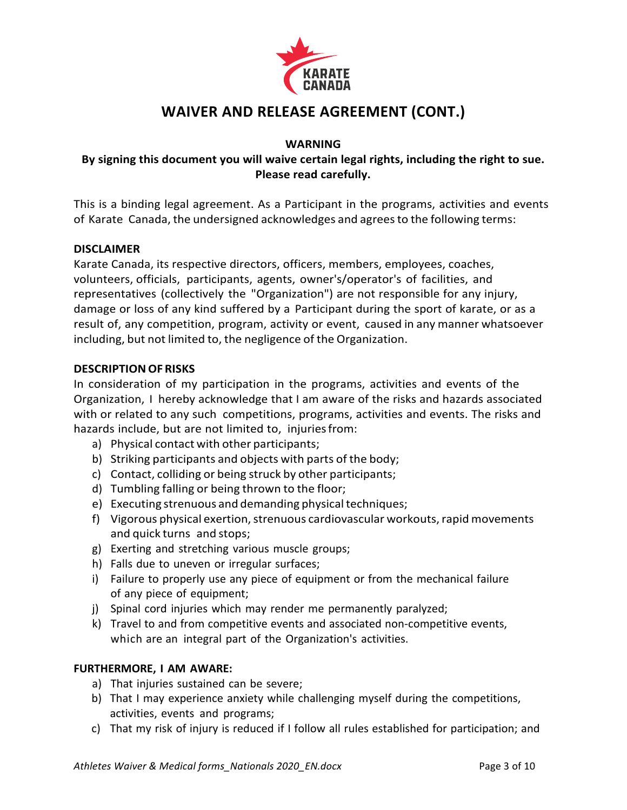

# **WAIVER AND RELEASE AGREEMENT (CONT.)**

## **WARNING**

# By signing this document you will waive certain legal rights, including the right to sue. **Please read carefully.**

This is a binding legal agreement. As a Participant in the programs, activities and events of Karate Canada, the undersigned acknowledges and agreesto the following terms:

## **DISCLAIMER**

Karate Canada, its respective directors, officers, members, employees, coaches, volunteers, officials, participants, agents, owner's/operator's of facilities, and representatives (collectively the "Organization") are not responsible for any injury, damage or loss of any kind suffered by a Participant during the sport of karate, or as a result of, any competition, program, activity or event, caused in any manner whatsoever including, but not limited to, the negligence of the Organization.

#### **DESCRIPTIONOF RISKS**

In consideration of my participation in the programs, activities and events of the Organization, I hereby acknowledge that I am aware of the risks and hazards associated with or related to any such competitions, programs, activities and events. The risks and hazards include, but are not limited to, injuriesfrom:

- a) Physical contact with other participants;
- b) Striking participants and objects with parts of the body;
- c) Contact, colliding or being struck by other participants;
- d) Tumbling falling or being thrown to the floor;
- e) Executing strenuous and demanding physical techniques;
- f) Vigorous physical exertion, strenuous cardiovascular workouts, rapid movements and quick turns and stops;
- g) Exerting and stretching various muscle groups;
- h) Falls due to uneven or irregular surfaces;
- i) Failure to properly use any piece of equipment or from the mechanical failure of any piece of equipment;
- j) Spinal cord injuries which may render me permanently paralyzed;
- k) Travel to and from competitive events and associated non-competitive events, which are an integral part of the Organization's activities.

## **FURTHERMORE, I AM AWARE:**

- a) That injuries sustained can be severe;
- b) That I may experience anxiety while challenging myself during the competitions, activities, events and programs;
- c) That my risk of injury is reduced if I follow all rules established for participation; and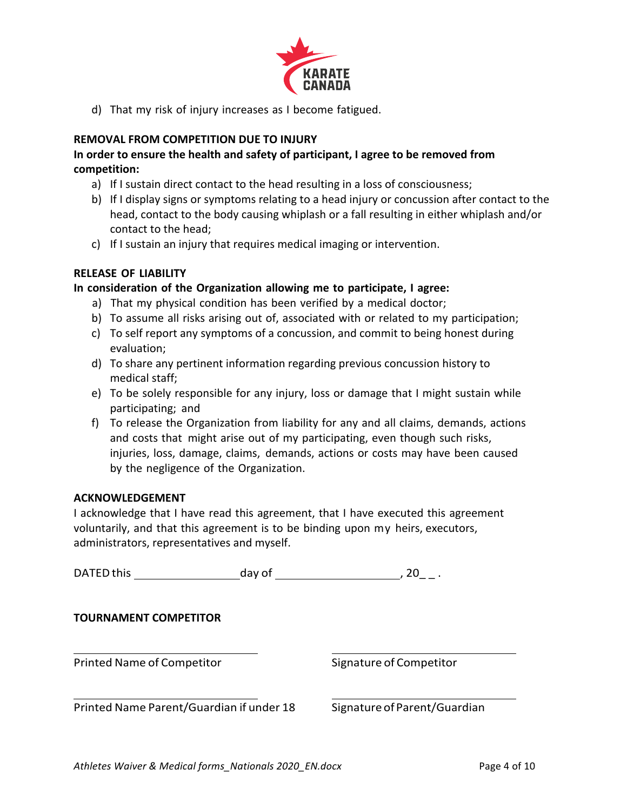

d) That my risk of injury increases as I become fatigued.

### **REMOVAL FROM COMPETITION DUE TO INJURY**

# In order to ensure the health and safety of participant, I agree to be removed from **competition:**

- a) If I sustain direct contact to the head resulting in a loss of consciousness;
- b) If I display signs or symptoms relating to a head injury or concussion after contact to the head, contact to the body causing whiplash or a fall resulting in either whiplash and/or contact to the head;
- c) If I sustain an injury that requires medical imaging or intervention.

## **RELEASE OF LIABILITY**

#### **In consideration of the Organization allowing me to participate, I agree:**

- a) That my physical condition has been verified by a medical doctor;
- b) To assume all risks arising out of, associated with or related to my participation;
- c) To self report any symptoms of a concussion, and commit to being honest during evaluation;
- d) To share any pertinent information regarding previous concussion history to medical staff;
- e) To be solely responsible for any injury, loss or damage that I might sustain while participating; and
- f) To release the Organization from liability for any and all claims, demands, actions and costs that might arise out of my participating, even though such risks, injuries, loss, damage, claims, demands, actions or costs may have been caused by the negligence of the Organization.

#### **ACKNOWLEDGEMENT**

I acknowledge that I have read this agreement, that I have executed this agreement voluntarily, and that this agreement is to be binding upon my heirs, executors, administrators, representatives and myself.

| DATED this                               | day of | -20                          |
|------------------------------------------|--------|------------------------------|
| <b>TOURNAMENT COMPETITOR</b>             |        |                              |
| Printed Name of Competitor               |        | Signature of Competitor      |
| Printed Name Parent/Guardian if under 18 |        | Signature of Parent/Guardian |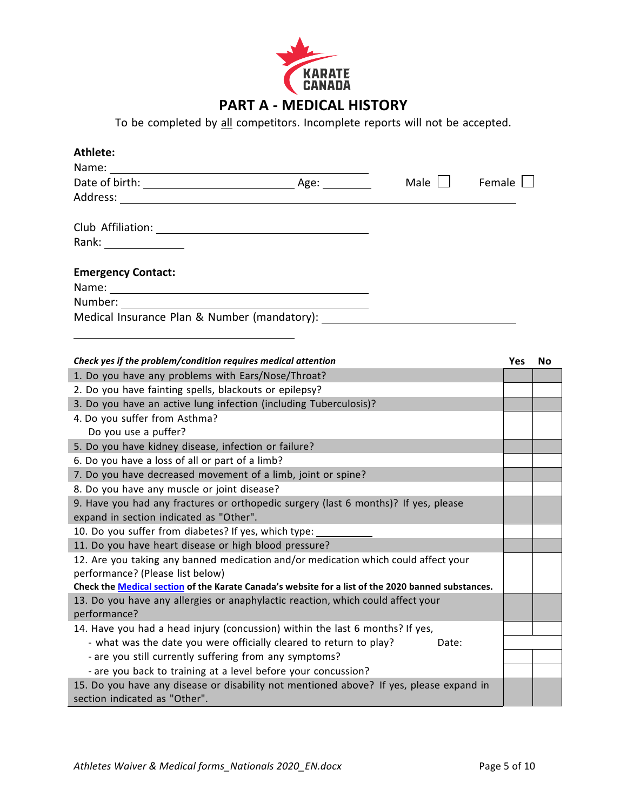

To be completed by all competitors. Incomplete reports will not be accepted.

| Athlete:                                                               |      |      |        |
|------------------------------------------------------------------------|------|------|--------|
| Name:                                                                  |      |      |        |
|                                                                        | Age: | Male | Female |
| Address:<br><u> 1989 - John Stein, Amerikaansk politiker (</u> † 1920) |      |      |        |
| Club Affiliation:                                                      |      |      |        |
| Rank: _____________                                                    |      |      |        |
| <b>Emergency Contact:</b>                                              |      |      |        |
|                                                                        |      |      |        |
| Number:                                                                |      |      |        |
| Medical Insurance Plan & Number (mandatory):                           |      |      |        |

| Check yes if the problem/condition requires medical attention                                      | <b>Yes</b> | No |
|----------------------------------------------------------------------------------------------------|------------|----|
| 1. Do you have any problems with Ears/Nose/Throat?                                                 |            |    |
| 2. Do you have fainting spells, blackouts or epilepsy?                                             |            |    |
| 3. Do you have an active lung infection (including Tuberculosis)?                                  |            |    |
| 4. Do you suffer from Asthma?                                                                      |            |    |
| Do you use a puffer?                                                                               |            |    |
| 5. Do you have kidney disease, infection or failure?                                               |            |    |
| 6. Do you have a loss of all or part of a limb?                                                    |            |    |
| 7. Do you have decreased movement of a limb, joint or spine?                                       |            |    |
| 8. Do you have any muscle or joint disease?                                                        |            |    |
| 9. Have you had any fractures or orthopedic surgery (last 6 months)? If yes, please                |            |    |
| expand in section indicated as "Other".                                                            |            |    |
| 10. Do you suffer from diabetes? If yes, which type:                                               |            |    |
| 11. Do you have heart disease or high blood pressure?                                              |            |    |
| 12. Are you taking any banned medication and/or medication which could affect your                 |            |    |
| performance? (Please list below)                                                                   |            |    |
| Check the Medical section of the Karate Canada's website for a list of the 2020 banned substances. |            |    |
| 13. Do you have any allergies or anaphylactic reaction, which could affect your                    |            |    |
| performance?                                                                                       |            |    |
| 14. Have you had a head injury (concussion) within the last 6 months? If yes,                      |            |    |
| - what was the date you were officially cleared to return to play?<br>Date:                        |            |    |
| - are you still currently suffering from any symptoms?                                             |            |    |
| - are you back to training at a level before your concussion?                                      |            |    |
| 15. Do you have any disease or disability not mentioned above? If yes, please expand in            |            |    |
| section indicated as "Other".                                                                      |            |    |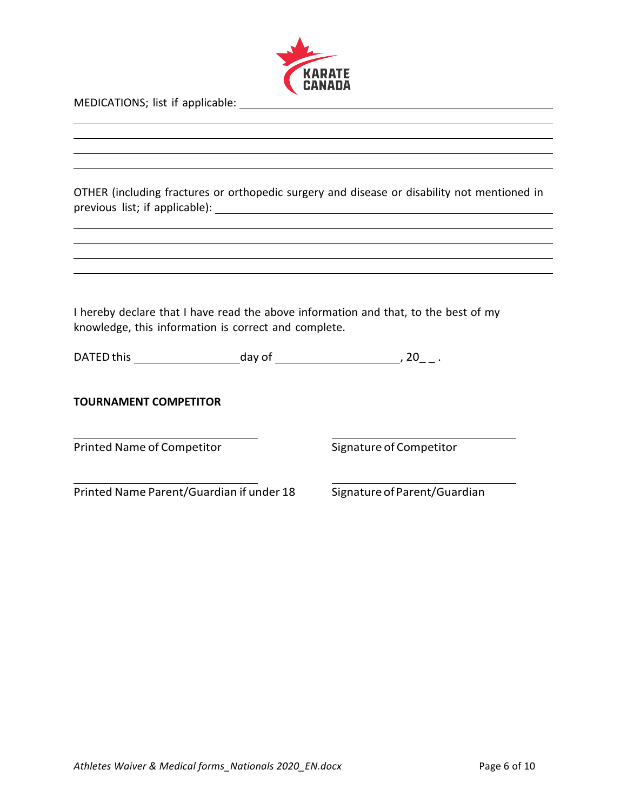

MEDICATIONS; list if applicable:

OTHER (including fractures or orthopedic surgery and disease or disability not mentioned in previous list; if applicable):

I hereby declare that I have read the above information and that, to the best of my knowledge, this information is correct and complete.

| <b>DATED</b> this | day of |  |
|-------------------|--------|--|
|-------------------|--------|--|

Printed Name of Competitor Signature of Competitor

Printed Name Parent/Guardian if under 18 Signature of Parent/Guardian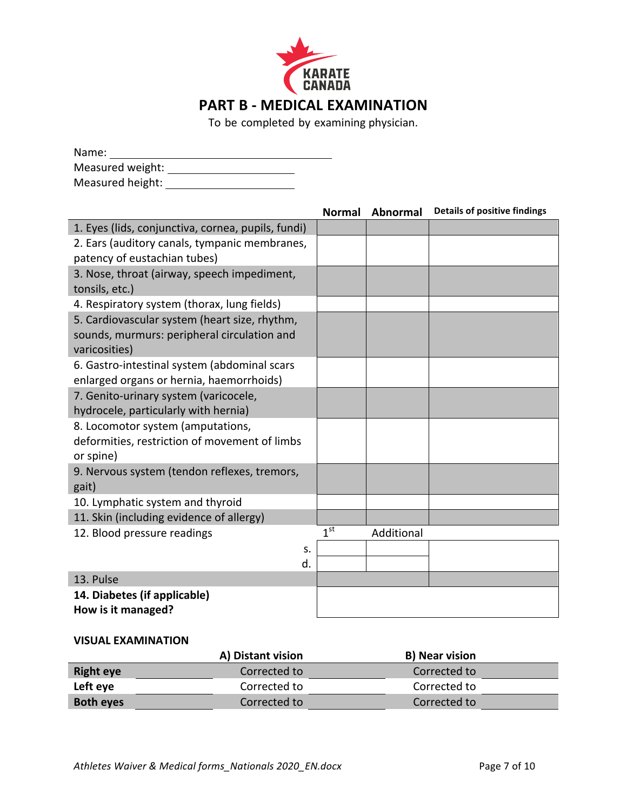

To be completed by examining physician.

| Name:            |  |
|------------------|--|
| Measured weight: |  |
| Measured height: |  |

|                                                    | <b>Normal</b>   | Abnormal   | <b>Details of positive findings</b> |
|----------------------------------------------------|-----------------|------------|-------------------------------------|
| 1. Eyes (lids, conjunctiva, cornea, pupils, fundi) |                 |            |                                     |
| 2. Ears (auditory canals, tympanic membranes,      |                 |            |                                     |
| patency of eustachian tubes)                       |                 |            |                                     |
| 3. Nose, throat (airway, speech impediment,        |                 |            |                                     |
| tonsils, etc.)                                     |                 |            |                                     |
| 4. Respiratory system (thorax, lung fields)        |                 |            |                                     |
| 5. Cardiovascular system (heart size, rhythm,      |                 |            |                                     |
| sounds, murmurs: peripheral circulation and        |                 |            |                                     |
| varicosities)                                      |                 |            |                                     |
| 6. Gastro-intestinal system (abdominal scars       |                 |            |                                     |
| enlarged organs or hernia, haemorrhoids)           |                 |            |                                     |
| 7. Genito-urinary system (varicocele,              |                 |            |                                     |
| hydrocele, particularly with hernia)               |                 |            |                                     |
| 8. Locomotor system (amputations,                  |                 |            |                                     |
| deformities, restriction of movement of limbs      |                 |            |                                     |
| or spine)                                          |                 |            |                                     |
| 9. Nervous system (tendon reflexes, tremors,       |                 |            |                                     |
| gait)                                              |                 |            |                                     |
| 10. Lymphatic system and thyroid                   |                 |            |                                     |
| 11. Skin (including evidence of allergy)           |                 |            |                                     |
| 12. Blood pressure readings                        | 1 <sup>st</sup> | Additional |                                     |
| s.                                                 |                 |            |                                     |
| d.                                                 |                 |            |                                     |
| 13. Pulse                                          |                 |            |                                     |
| 14. Diabetes (if applicable)                       |                 |            |                                     |
| How is it managed?                                 |                 |            |                                     |

## **VISUAL EXAMINATION**

|                  | A) Distant vision | <b>B) Near vision</b> |
|------------------|-------------------|-----------------------|
| <b>Right eye</b> | Corrected to      | Corrected to          |
| Left eye         | Corrected to      | Corrected to          |
| <b>Both eyes</b> | Corrected to      | Corrected to          |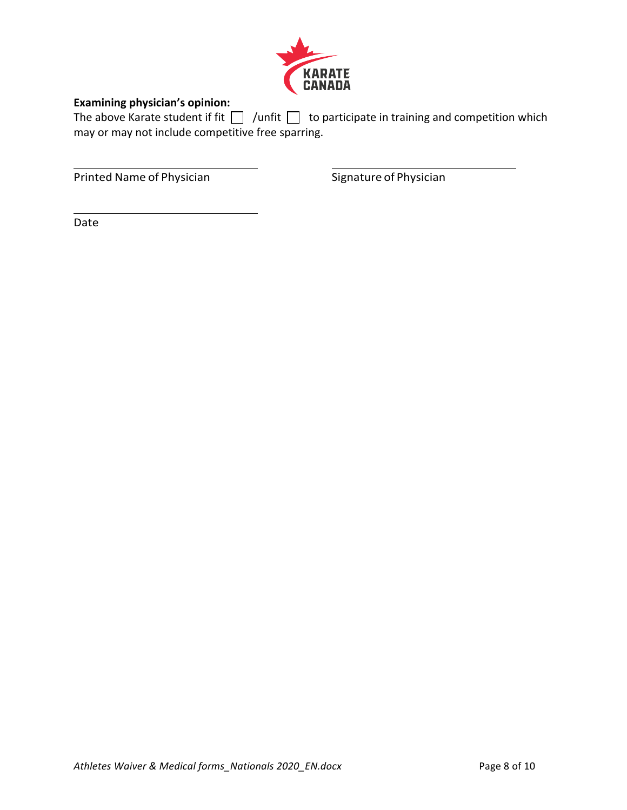

# **Examining physician's opinion:**

The above Karate student if fit  $\Box$  /unfit  $\Box$  to participate in training and competition which may or may not include competitive free sparring.

Printed Name of Physician Signature of Physician

Date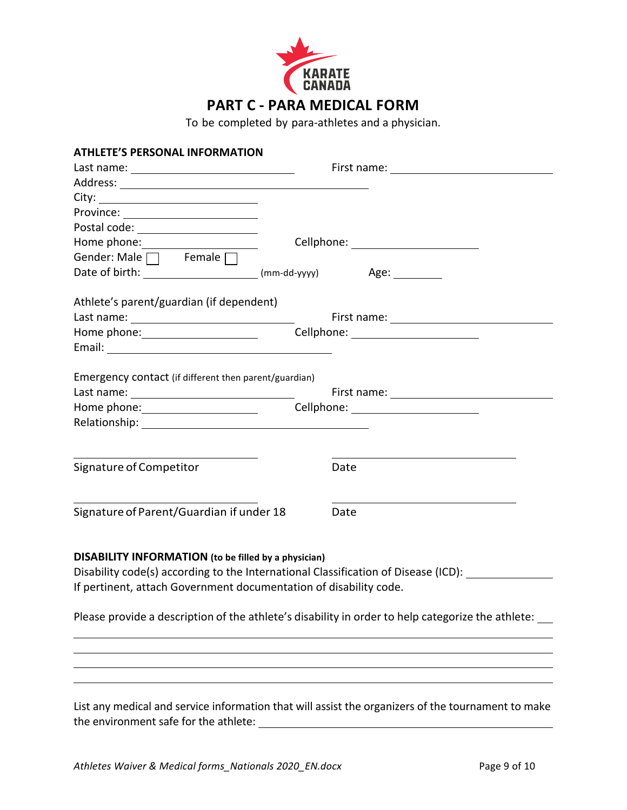

To be completed by para-athletes and a physician.

| <b>ATHLETE'S PERSONAL INFORMATION</b>                                              |                                                                                                    |
|------------------------------------------------------------------------------------|----------------------------------------------------------------------------------------------------|
| Last name: __________________________________                                      |                                                                                                    |
|                                                                                    |                                                                                                    |
|                                                                                    |                                                                                                    |
| Province: ________________________                                                 |                                                                                                    |
| Postal code: _____________________                                                 |                                                                                                    |
|                                                                                    | Cellphone: _________________________                                                               |
| Gender: Male $\Box$ Female $\Box$                                                  |                                                                                                    |
|                                                                                    | Age: _________                                                                                     |
| Athlete's parent/guardian (if dependent)                                           |                                                                                                    |
|                                                                                    |                                                                                                    |
| Home phone: <u>containing</u>                                                      | Cellphone: _________________________                                                               |
|                                                                                    |                                                                                                    |
| Emergency contact (if different then parent/guardian)                              |                                                                                                    |
|                                                                                    |                                                                                                    |
| Home phone: <u>contained</u>                                                       |                                                                                                    |
|                                                                                    |                                                                                                    |
| Signature of Competitor                                                            | Date                                                                                               |
|                                                                                    |                                                                                                    |
| Signature of Parent/Guardian if under 18                                           | Date                                                                                               |
| <b>DISABILITY INFORMATION</b> (to be filled by a physician)                        |                                                                                                    |
| Disability code(s) according to the International Classification of Disease (ICD): |                                                                                                    |
| If pertinent, attach Government documentation of disability code.                  |                                                                                                    |
|                                                                                    |                                                                                                    |
|                                                                                    | Please provide a description of the athlete's disability in order to help categorize the athlete:  |
|                                                                                    |                                                                                                    |
|                                                                                    |                                                                                                    |
|                                                                                    |                                                                                                    |
|                                                                                    | List any medical and service information that will assist the organizers of the tournament to make |
| the environment safe for the athlete:                                              |                                                                                                    |